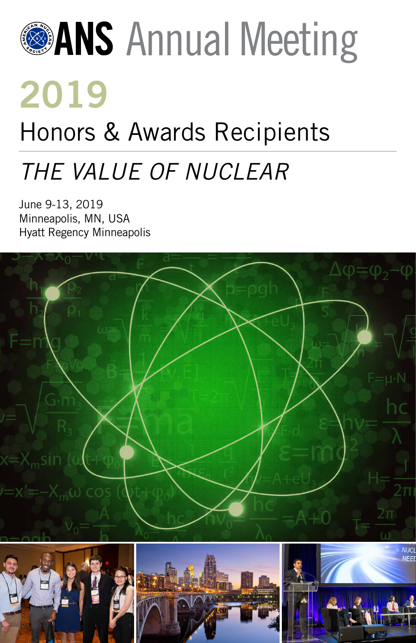# **<sup>@</sup>ANS** Annual Meeting **2019**

# Honors & Awards Recipients

# *THE VALUE OF NUCLEAR*

June 9-13, 2019 Minneapolis, MN, USA Hyatt Regency Minneapolis

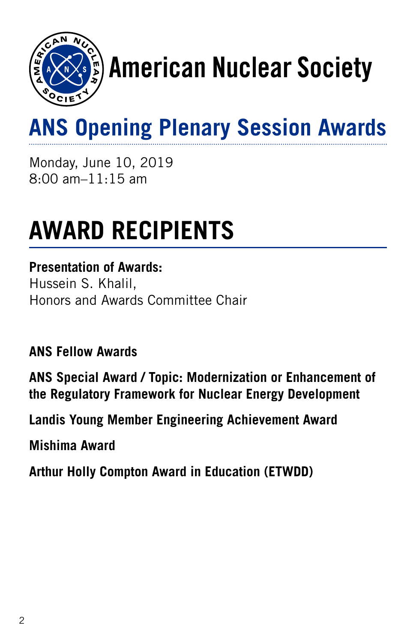

# s) American Nuclear Society

# **ANS Opening Plenary Session Awards**

Monday, June 10, 2019 8:00 am–11:15 am

# **AWARD RECIPIENTS**

#### **Presentation of Awards:**

Hussein S. Khalil, Honors and Awards Committee Chair

**ANS Fellow Awards**

**ANS Special Award / Topic: Modernization or Enhancement of the Regulatory Framework for Nuclear Energy Development**

**Landis Young Member Engineering Achievement Award**

**Mishima Award**

**Arthur Holly Compton Award in Education (ETWDD)**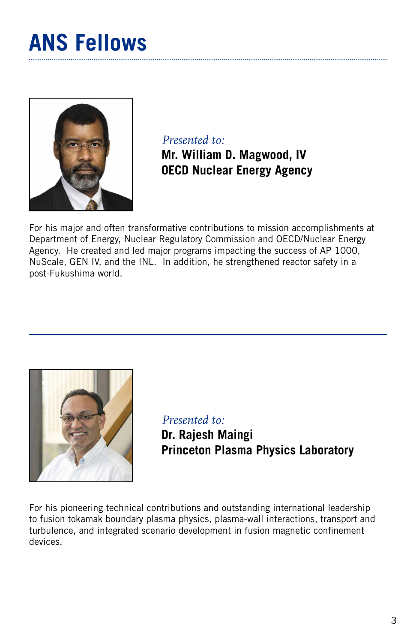### **ANS Fellows**



*Presented to:*  **Mr. William D. Magwood, IV OECD Nuclear Energy Agency**

For his major and often transformative contributions to mission accomplishments at Department of Energy, Nuclear Regulatory Commission and OECD/Nuclear Energy Agency. He created and led major programs impacting the success of AP 1000, NuScale, GEN IV, and the INL. In addition, he strengthened reactor safety in a post-Fukushima world.



*Presented to:*  **Dr. Rajesh Maingi Princeton Plasma Physics Laboratory**

For his pioneering technical contributions and outstanding international leadership to fusion tokamak boundary plasma physics, plasma-wall interactions, transport and turbulence, and integrated scenario development in fusion magnetic confinement devices.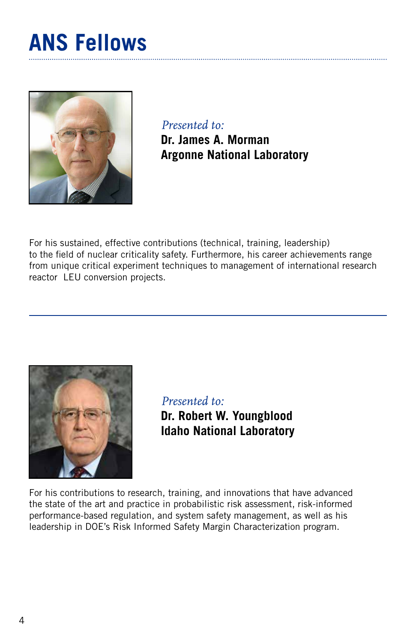### **ANS Fellows**



*Presented to:*  **Dr. James A. Morman Argonne National Laboratory**

For his sustained, effective contributions (technical, training, leadership) to the field of nuclear criticality safety. Furthermore, his career achievements range from unique critical experiment techniques to management of international research reactor LEU conversion projects.



*Presented to:*  **Dr. Robert W. Youngblood Idaho National Laboratory**

For his contributions to research, training, and innovations that have advanced the state of the art and practice in probabilistic risk assessment, risk-informed performance-based regulation, and system safety management, as well as his leadership in DOE's Risk Informed Safety Margin Characterization program.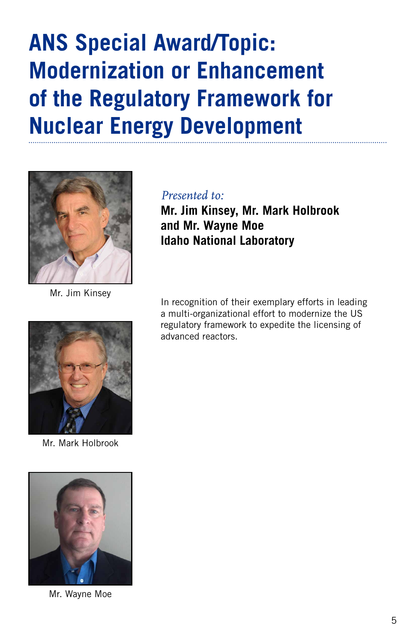# **ANS Special Award/Topic: Modernization or Enhancement of the Regulatory Framework for Nuclear Energy Development**



Mr. Jim Kinsey

#### *Presented to:*

**Mr. Jim Kinsey, Mr. Mark Holbrook and Mr. Wayne Moe Idaho National Laboratory**

In recognition of their exemplary efforts in leading a multi-organizational effort to modernize the US regulatory framework to expedite the licensing of advanced reactors.



Mr. Mark Holbrook



Mr. Wayne Moe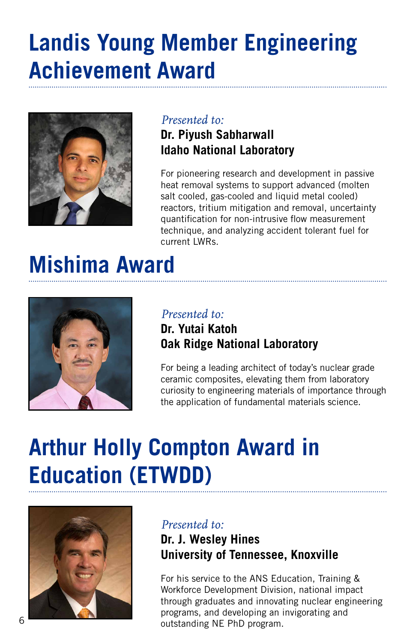### **Landis Young Member Engineering Achievement Award**



#### *Presented to:*

#### **Dr. Piyush Sabharwall Idaho National Laboratory**

For pioneering research and development in passive heat removal systems to support advanced (molten salt cooled, gas-cooled and liquid metal cooled) reactors, tritium mitigation and removal, uncertainty quantification for non-intrusive flow measurement technique, and analyzing accident tolerant fuel for current LWRs.

### **Mishima Award**



#### *Presented to:*  **Dr. Yutai Katoh Oak Ridge National Laboratory**

For being a leading architect of today's nuclear grade ceramic composites, elevating them from laboratory curiosity to engineering materials of importance through the application of fundamental materials science.

# **Arthur Holly Compton Award in Education (ETWDD)**



#### *Presented to:*  **Dr. J. Wesley Hines University of Tennessee, Knoxville**

For his service to the ANS Education, Training & Workforce Development Division, national impact through graduates and innovating nuclear engineering programs, and developing an invigorating and outstanding NE PhD program.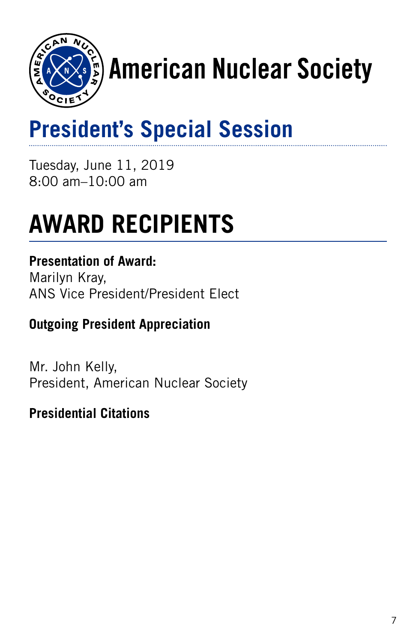

# $\mathbf{F}_2$ ) American Nuclear Society

# **President's Special Session**

Tuesday, June 11, 2019 8:00 am–10:00 am

# **AWARD RECIPIENTS**

#### **Presentation of Award:**

Marilyn Kray, ANS Vice President/President Elect

#### **Outgoing President Appreciation**

Mr. John Kelly, President, American Nuclear Society

#### **Presidential Citations**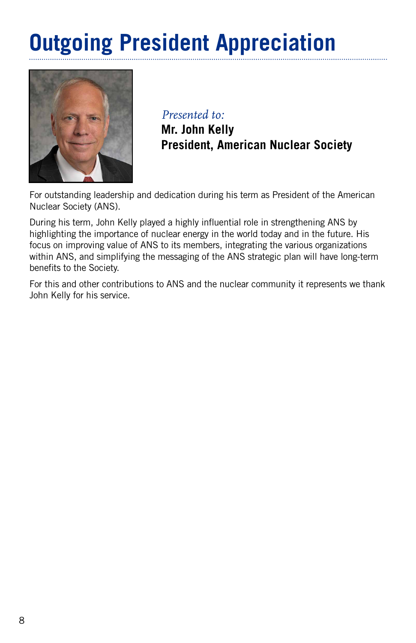# **Outgoing President Appreciation**



*Presented to:* 

**Mr. John Kelly President, American Nuclear Society**

For outstanding leadership and dedication during his term as President of the American Nuclear Society (ANS).

During his term, John Kelly played a highly influential role in strengthening ANS by highlighting the importance of nuclear energy in the world today and in the future. His focus on improving value of ANS to its members, integrating the various organizations within ANS, and simplifying the messaging of the ANS strategic plan will have long-term benefits to the Society.

For this and other contributions to ANS and the nuclear community it represents we thank John Kelly for his service.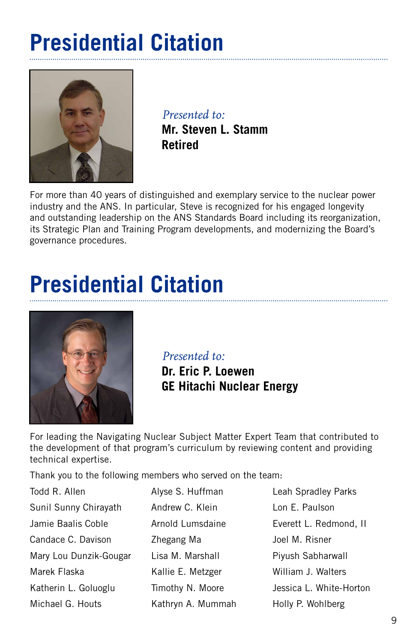# **Presidential Citation**



*Presented to:*  **Mr. Steven L. Stamm Retired**

For more than 40 years of distinguished and exemplary service to the nuclear power industry and the ANS. In particular, Steve is recognized for his engaged longevity and outstanding leadership on the ANS Standards Board including its reorganization, its Strategic Plan and Training Program developments, and modernizing the Board's governance procedures.

# **Presidential Citation**



*Presented to:* 

**Dr. Eric P. Loewen GE Hitachi Nuclear Energy**

For leading the Navigating Nuclear Subject Matter Expert Team that contributed to the development of that program's curriculum by reviewing content and providing technical expertise.

Thank you to the following members who served on the team:

Todd R. Allen Sunil Sunny Chirayath Jamie Baalis Coble Candace C. Davison Mary Lou Dunzik-Gougar Marek Flaska Katherin L. Goluoglu Michael G. Houts

Alyse S. Huffman Andrew C. Klein Arnold Lumsdaine Zhegang Ma Lisa M. Marshall Kallie E. Metzger Timothy N. Moore Kathryn A. Mummah Leah Spradley Parks Lon E. Paulson Everett L. Redmond, II Joel M. Risner Piyush Sabharwall William J. Walters Jessica L. White-Horton Holly P. Wohlberg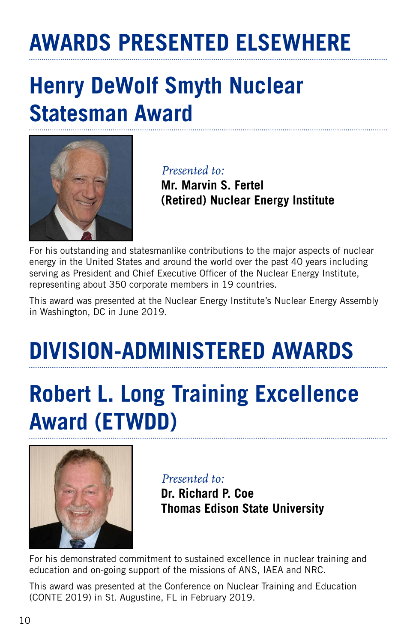# **AWARDS PRESENTED ELSEWHERE**

### **Henry DeWolf Smyth Nuclear Statesman Award**



*Presented to:* 

**Mr. Marvin S. Fertel (Retired) Nuclear Energy Institute**

For his outstanding and statesmanlike contributions to the major aspects of nuclear energy in the United States and around the world over the past 40 years including serving as President and Chief Executive Officer of the Nuclear Energy Institute, representing about 350 corporate members in 19 countries.

This award was presented at the Nuclear Energy Institute's Nuclear Energy Assembly in Washington, DC in June 2019.

# **DIVISION-ADMINISTERED AWARDS**

# **Robert L. Long Training Excellence Award (ETWDD)**



*Presented to:*

**Dr. Richard P. Coe Thomas Edison State University**

For his demonstrated commitment to sustained excellence in nuclear training and education and on-going support of the missions of ANS, IAEA and NRC.

This award was presented at the Conference on Nuclear Training and Education (CONTE 2019) in St. Augustine, FL in February 2019.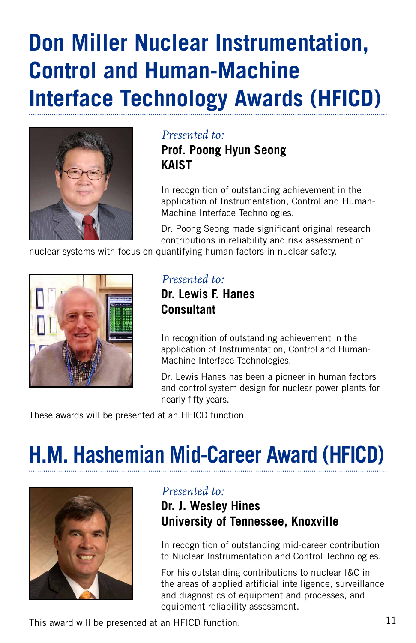### **Don Miller Nuclear Instrumentation, Control and Human-Machine Interface Technology Awards (HFICD)**



#### *Presented to:*  **Prof. Poong Hyun Seong KAIST**

In recognition of outstanding achievement in the application of Instrumentation, Control and Human-Machine Interface Technologies.

Dr. Poong Seong made significant original research contributions in reliability and risk assessment of

nuclear systems with focus on quantifying human factors in nuclear safety.



*Presented to:* **Dr. Lewis F. Hanes Consultant**

In recognition of outstanding achievement in the application of Instrumentation, Control and Human-Machine Interface Technologies.

Dr. Lewis Hanes has been a pioneer in human factors and control system design for nuclear power plants for nearly fifty years.

These awards will be presented at an HFICD function.

# **H.M. Hashemian Mid-Career Award (HFICD)**



#### *Presented to:*

#### **Dr. J. Wesley Hines University of Tennessee, Knoxville**

In recognition of outstanding mid-career contribution to Nuclear Instrumentation and Control Technologies.

For his outstanding contributions to nuclear I&C in the areas of applied artificial intelligence, surveillance and diagnostics of equipment and processes, and equipment reliability assessment.

This award will be presented at an HFICD function.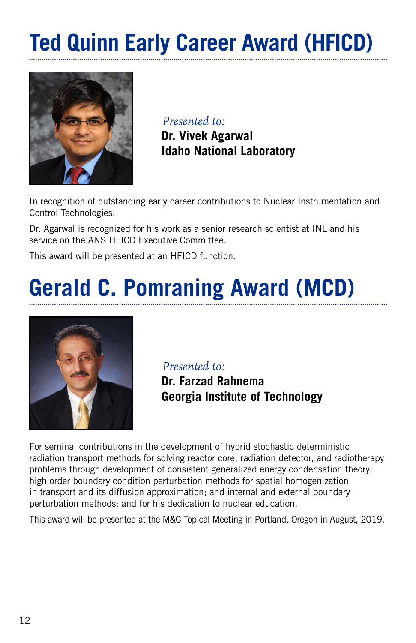# **Ted Quinn Early Career Award (HFICD)**



*Presented to:*

**Dr. Vivek Agarwal Idaho National Laboratory**

In recognition of outstanding early career contributions to Nuclear Instrumentation and Control Technologies.

Dr. Agarwal is recognized for his work as a senior research scientist at INL and his service on the ANS HFICD Executive Committee.

This award will be presented at an HFICD function.

# **Gerald C. Pomraning Award (MCD)**



*Presented to:*

**Dr. Farzad Rahnema Georgia Institute of Technology**

For seminal contributions in the development of hybrid stochastic deterministic radiation transport methods for solving reactor core, radiation detector, and radiotherapy problems through development of consistent generalized energy condensation theory; high order boundary condition perturbation methods for spatial homogenization in transport and its diffusion approximation; and internal and external boundary perturbation methods; and for his dedication to nuclear education.

This award will be presented at the M&C Topical Meeting in Portland, Oregon in August, 2019.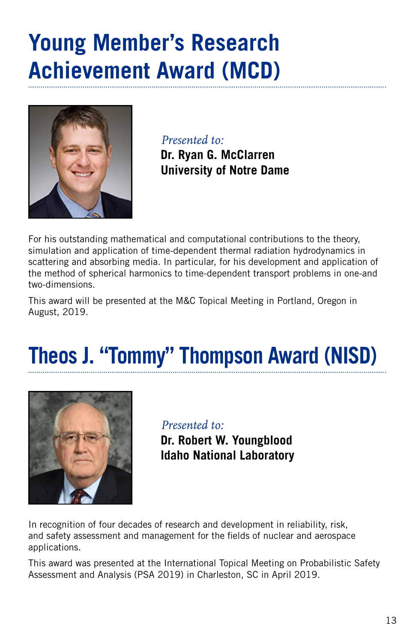### **Young Member's Research Achievement Award (MCD)**



*Presented to:*

**Dr. Ryan G. McClarren University of Notre Dame**

For his outstanding mathematical and computational contributions to the theory, simulation and application of time-dependent thermal radiation hydrodynamics in scattering and absorbing media. In particular, for his development and application of the method of spherical harmonics to time-dependent transport problems in one-and two-dimensions.

This award will be presented at the M&C Topical Meeting in Portland, Oregon in August, 2019.

# **Theos J. "Tommy" Thompson Award (NISD)**



*Presented to:* **Dr. Robert W. Youngblood Idaho National Laboratory**

In recognition of four decades of research and development in reliability, risk, and safety assessment and management for the fields of nuclear and aerospace applications.

This award was presented at the International Topical Meeting on Probabilistic Safety Assessment and Analysis (PSA 2019) in Charleston, SC in April 2019.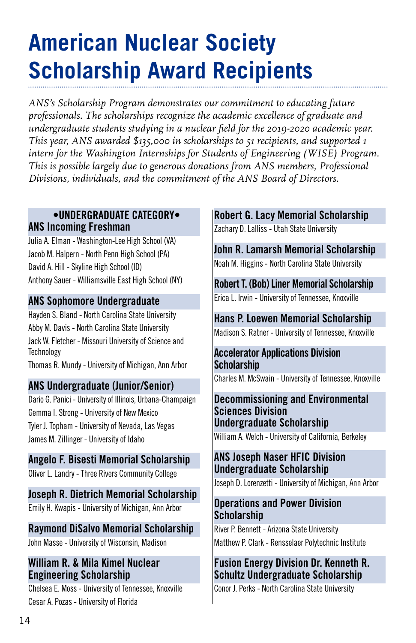# **American Nuclear Society Scholarship Award Recipients**

*ANS's Scholarship Program demonstrates our commitment to educating future professionals. The scholarships recognize the academic excellence of graduate and undergraduate students studying in a nuclear field for the 2019-2020 academic year. This year, ANS awarded \$135,000 in scholarships to 51 recipients, and supported 1 intern for the Washington Internships for Students of Engineering (WISE) Program. This is possible largely due to generous donations from ANS members, Professional Divisions, individuals, and the commitment of the ANS Board of Directors.*

#### **•UNDERGRADUATE CATEGORY• ANS Incoming Freshman**

Julia A. Elman - Washington-Lee High School (VA) Jacob M. Halpern - North Penn High School (PA) David A. Hill - Skyline High School (ID) Anthony Sauer - Williamsville East High School (NY)

#### **ANS Sophomore Undergraduate**

Hayden S. Bland - North Carolina State University Abby M. Davis - North Carolina State University Jack W. Fletcher - Missouri University of Science and **Technology** 

Thomas R. Mundy - University of Michigan, Ann Arbor

#### **ANS Undergraduate (Junior/Senior)**

Dario G. Panici - University of Illinois, Urbana-Champaign Gemma I. Strong - University of New Mexico Tyler J. Topham - University of Nevada, Las Vegas James M. Zillinger - University of Idaho

#### **Angelo F. Bisesti Memorial Scholarship**

Oliver L. Landry - Three Rivers Community College

**Joseph R. Dietrich Memorial Scholarship** Emily H. Kwapis - University of Michigan, Ann Arbor

#### **Raymond DiSalvo Memorial Scholarship**

John Masse - University of Wisconsin, Madison

#### **William R. & Mila Kimel Nuclear Engineering Scholarship**

Chelsea E. Moss - University of Tennessee, Knoxville Cesar A. Pozas - University of Florida

#### **Robert G. Lacy Memorial Scholarship**

Zachary D. Lalliss - Utah State University

**John R. Lamarsh Memorial Scholarship** Noah M. Higgins - North Carolina State University

**Robert T. (Bob) Liner Memorial Scholarship** Erica L. Irwin - University of Tennessee, Knoxville

**Hans P. Loewen Memorial Scholarship** Madison S. Ratner - University of Tennessee, Knoxville

#### **Accelerator Applications Division Scholarship**

Charles M. McSwain - University of Tennessee, Knoxville

#### **Decommissioning and Environmental Sciences Division Undergraduate Scholarship** William A. Welch - University of California, Berkeley

#### **ANS Joseph Naser HFIC Division Undergraduate Scholarship**

Joseph D. Lorenzetti - University of Michigan, Ann Arbor

#### **Operations and Power Division Scholarship**

River P. Bennett - Arizona State University Matthew P. Clark - Rensselaer Polytechnic Institute

#### **Fusion Energy Division Dr. Kenneth R. Schultz Undergraduate Scholarship**

Conor J. Perks - North Carolina State University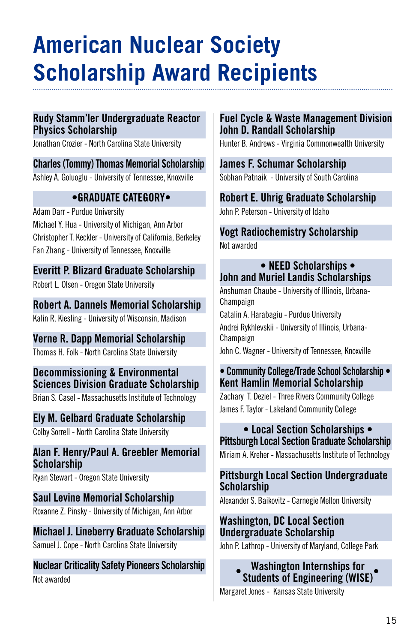# **American Nuclear Society Scholarship Award Recipients**

#### **Rudy Stamm'ler Undergraduate Reactor Physics Scholarship**

Jonathan Crozier - North Carolina State University

**Charles (Tommy) Thomas Memorial Scholarship** Ashley A. Goluoglu - University of Tennessee, Knoxville

#### **•GRADUATE CATEGORY•**

Adam Darr - Purdue University Michael Y. Hua - University of Michigan, Ann Arbor Christopher T. Keckler - University of California, Berkeley Fan Zhang - University of Tennessee, Knoxville

**Everitt P. Blizard Graduate Scholarship** Robert L. Olsen - Oregon State University

**Robert A. Dannels Memorial Scholarship** Kalin R. Kiesling - University of Wisconsin, Madison

**Verne R. Dapp Memorial Scholarship** Thomas H. Folk - North Carolina State University

**Decommissioning & Environmental Sciences Division Graduate Scholarship** Brian S. Casel - Massachusetts Institute of Technology

**Ely M. Gelbard Graduate Scholarship** Colby Sorrell - North Carolina State University

**Alan F. Henry/Paul A. Greebler Memorial Scholarship**

Ryan Stewart - Oregon State University

**Saul Levine Memorial Scholarship** Roxanne Z. Pinsky - University of Michigan, Ann Arbor

**Michael J. Lineberry Graduate Scholarship** Samuel J. Cope - North Carolina State University

**Nuclear Criticality Safety Pioneers Scholarship** Not awarded

#### **Fuel Cycle & Waste Management Division John D. Randall Scholarship**

Hunter B. Andrews - Virginia Commonwealth University

#### **James F. Schumar Scholarship**

Sobhan Patnaik - University of South Carolina

#### **Robert E. Uhrig Graduate Scholarship**

John P. Peterson - University of Idaho

#### **Vogt Radiochemistry Scholarship** Not awarded

#### **• NEED Scholarships • John and Muriel Landis Scholarships**

Anshuman Chaube - University of Illinois, Urbana-Champaign Catalin A. Harabagiu - Purdue University Andrei Rykhlevskii - University of Illinois, Urbana-Champaign John C. Wagner - University of Tennessee, Knoxville

#### **• Community College/Trade School Scholarship • Kent Hamlin Memorial Scholarship**

Zachary T. Deziel - Three Rivers Community College James F. Taylor - Lakeland Community College

#### **• Local Section Scholarships • Pittsburgh Local Section Graduate Scholarship**

Miriam A. Kreher - Massachusetts Institute of Technology

#### **Pittsburgh Local Section Undergraduate Scholarship**

Alexander S. Baikovitz - Carnegie Mellon University

#### **Washington, DC Local Section Undergraduate Scholarship**

John P. Lathrop - University of Maryland, College Park

**Washington Internships for Students of Engineering (WISE) • •**

Margaret Jones - Kansas State University